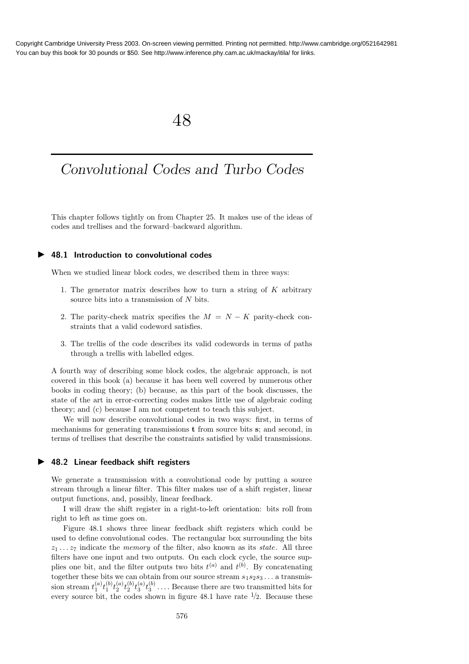# 48

# Convolutional Codes and Turbo Codes

This chapter follows tightly on from Chapter 25. It makes use of the ideas of codes and trellises and the forward–backward algorithm.

# ▶ 48.1 Introduction to convolutional codes

When we studied linear block codes, we described them in three ways:

- 1. The generator matrix describes how to turn a string of  $K$  arbitrary source bits into a transmission of N bits.
- 2. The parity-check matrix specifies the  $M = N K$  parity-check constraints that a valid codeword satisfies.
- 3. The trellis of the code describes its valid codewords in terms of paths through a trellis with labelled edges.

A fourth way of describing some block codes, the algebraic approach, is not covered in this book (a) because it has been well covered by numerous other books in coding theory; (b) because, as this part of the book discusses, the state of the art in error-correcting codes makes little use of algebraic coding theory; and (c) because I am not competent to teach this subject.

We will now describe convolutional codes in two ways: first, in terms of mechanisms for generating transmissions  $t$  from source bits  $s$ ; and second, in terms of trellises that describe the constraints satisfied by valid transmissions.

# ▶ 48.2 Linear feedback shift registers

We generate a transmission with a convolutional code by putting a source stream through a linear filter. This filter makes use of a shift register, linear output functions, and, possibly, linear feedback.

I will draw the shift register in a right-to-left orientation: bits roll from right to left as time goes on.

Figure 48.1 shows three linear feedback shift registers which could be used to define convolutional codes. The rectangular box surrounding the bits  $z_1 \ldots z_7$  indicate the *memory* of the filter, also known as its *state*. All three filters have one input and two outputs. On each clock cycle, the source supplies one bit, and the filter outputs two bits  $t^{(a)}$  and  $t^{(b)}$ . By concatenating together these bits we can obtain from our source stream  $s_1s_2s_3...$  a transmission stream  $t_1^{(a)}t_1^{(b)}t_2^{(a)}t_2^{(b)}t_3^{(a)}t_3^{(b)}\ldots$  Because there are two transmitted bits for every source bit, the codes shown in figure 48.1 have rate  $\frac{1}{2}$ . Because these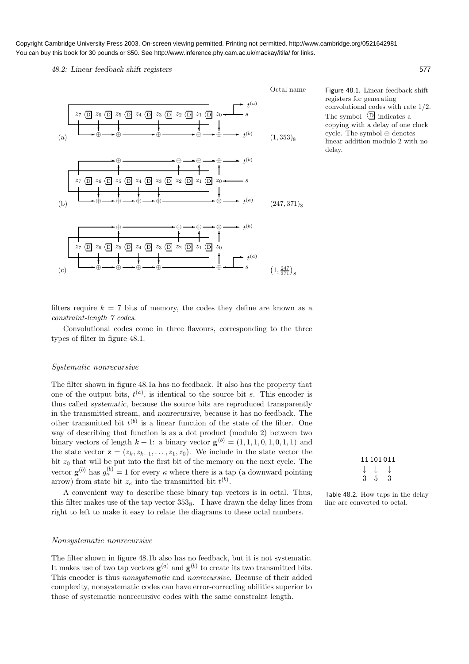#### 48.2: Linear feedback shift registers 577



Figure 48.1. Linear feedback shift registers for generating convolutional codes with rate 1/2. The symbol  $\langle \overline{\text{D}} \rangle$  indicates a copying with a delay of one clock cycle. The symbol ⊕ denotes linear addition modulo 2 with no delay.

filters require  $k = 7$  bits of memory, the codes they define are known as a constraint-length 7 codes.

Convolutional codes come in three flavours, corresponding to the three types of filter in figure 48.1.

#### Systematic nonrecursive

The filter shown in figure 48.1a has no feedback. It also has the property that one of the output bits,  $t^{(a)}$ , is identical to the source bit s. This encoder is thus called systematic, because the source bits are reproduced transparently in the transmitted stream, and nonrecursive, because it has no feedback. The other transmitted bit  $t^{(b)}$  is a linear function of the state of the filter. One way of describing that function is as a dot product (modulo 2) between two binary vectors of length  $k + 1$ : a binary vector  $\mathbf{g}^{(b)} = (1, 1, 1, 0, 1, 0, 1, 1)$  and the state vector  $\mathbf{z} = (z_k, z_{k-1}, \ldots, z_1, z_0)$ . We include in the state vector the bit  $z_0$  that will be put into the first bit of the memory on the next cycle. The vector  $\mathbf{g}^{(b)}$  has  $g_{\kappa}^{(b)} = 1$  for every  $\kappa$  where there is a tap (a downward pointing arrow) from state bit  $z_{\kappa}$  into the transmitted bit  $t^{(b)}$ .

A convenient way to describe these binary tap vectors is in octal. Thus, this filter makes use of the tap vector 3538. I have drawn the delay lines from right to left to make it easy to relate the diagrams to these octal numbers.

#### Nonsystematic nonrecursive

The filter shown in figure 48.1b also has no feedback, but it is not systematic. It makes use of two tap vectors  $\mathbf{g}^{(a)}$  and  $\mathbf{g}^{(b)}$  to create its two transmitted bits. This encoder is thus nonsystematic and nonrecursive. Because of their added complexity, nonsystematic codes can have error-correcting abilities superior to those of systematic nonrecursive codes with the same constraint length.

| 11 101 011 |       |    |
|------------|-------|----|
|            | .l.l. | J. |
| 3          | 5     | 3  |

Table 48.2. How taps in the delay line are converted to octal.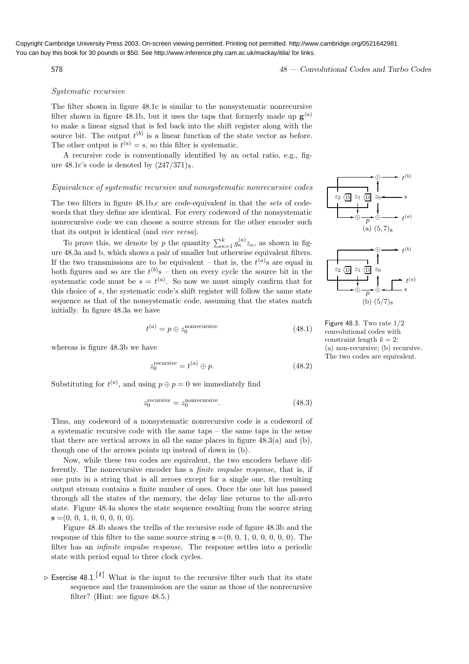578 **18** and Turbo Codes and Turbo Codes and Turbo Codes and Turbo Codes and Turbo Codes and Turbo Codes and Turbo Codes and Turbo Codes and Turbo Codes and Turbo Codes and Turbo Codes and Turbo Codes and Turbo Codes and T

#### Systematic recursive

The filter shown in figure 48.1c is similar to the nonsystematic nonrecursive filter shown in figure 48.1b, but it uses the taps that formerly made up  $\mathbf{g}^{(a)}$ to make a linear signal that is fed back into the shift register along with the source bit. The output  $t^{(b)}$  is a linear function of the state vector as before. The other output is  $t^{(a)} = s$ , so this filter is systematic.

A recursive code is conventionally identified by an octal ratio, e.g., figure 48.1c's code is denoted by  $(247/371)_8$ .

#### Equivalence of systematic recursive and nonsystematic nonrecursive codes

The two filters in figure 48.1b,c are code-equivalent in that the sets of codewords that they define are identical. For every codeword of the nonsystematic nonrecursive code we can choose a source stream for the other encoder such that its output is identical (and vice versa).

To prove this, we denote by p the quantity  $\sum_{\kappa=1}^k g_{\kappa}^{(a)} z_{\kappa}$ , as shown in figure 48.3a and b, which shows a pair of smaller but otherwise equivalent filters. If the two transmissions are to be equivalent – that is, the  $t^{(a)}$ s are equal in both figures and so are the  $t^{(b)}s$  – then on every cycle the source bit in the systematic code must be  $s = t^{(a)}$ . So now we must simply confirm that for this choice of s, the systematic code's shift register will follow the same state sequence as that of the nonsystematic code, assuming that the states match initially. In figure 48.3a we have

$$
t^{(a)} = p \oplus z_0^{\text{nonrecursive}} \tag{48.1}
$$

whereas is figure 48.3b we have

$$
z_0^{\text{recursive}} = t^{(a)} \oplus p. \tag{48.2}
$$

Substituting for  $t^{(a)}$ , and using  $p \oplus p = 0$  we immediately find

$$
z_0^{\text{recursive}} = z_0^{\text{nonrecursive}}.\tag{48.3}
$$

Thus, any codeword of a nonsystematic nonrecursive code is a codeword of a systematic recursive code with the same taps – the same taps in the sense that there are vertical arrows in all the same places in figure  $48.3(a)$  and  $(b)$ , though one of the arrows points up instead of down in (b).

Now, while these two codes are equivalent, the two encoders behave differently. The nonrecursive encoder has a finite impulse response, that is, if one puts in a string that is all zeroes except for a single one, the resulting output stream contains a finite number of ones. Once the one bit has passed through all the states of the memory, the delay line returns to the all-zero state. Figure 48.4a shows the state sequence resulting from the source string  $s = (0, 0, 1, 0, 0, 0, 0, 0).$ 

Figure 48.4b shows the trellis of the recursive code of figure 48.3b and the response of this filter to the same source string  $s = (0, 0, 1, 0, 0, 0, 0)$ . The filter has an infinite impulse response. The response settles into a periodic state with period equal to three clock cycles.

 $\triangleright$  Exercise 48.1.<sup>[1]</sup> What is the input to the recursive filter such that its state sequence and the transmission are the same as those of the nonrecursive filter? (Hint: see figure 48.5.)



Figure 48.3. Two rate 1/2 convolutional codes with constraint length  $k = 2$ : (a) non-recursive; (b) recursive. The two codes are equivalent.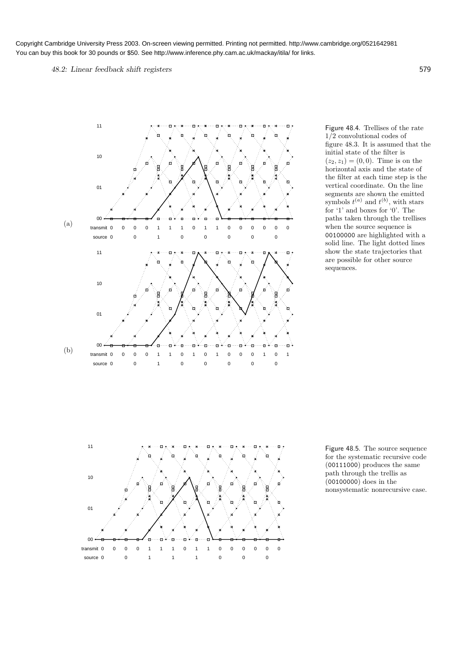# 48.2: Linear feedback shift registers 579

(a)

 $00$ 

 $01$ 

10

11

Figure 48.4. Trellises of the rate 1/2 convolutional codes of figure 48.3. It is assumed that the initial state of the filter is  $(z_2, z_1) = (0, 0)$ . Time is on the horizontal axis and the state of the filter at each time step is the vertical coordinate. On the line segments are shown the emitted symbols  $t^{(a)}$  and  $t^{(b)}$ , with stars for '1' and boxes for '0'. The paths taken through the trellises when the source sequence is 00100000 are highlighted with a solid line. The light dotted lines show the state trajectories that are possible for other source sequences.



source 0 0 1 1 1 0 0 0

transmit 0 0 0 0 1 1 1 0 1 1 0 0 0 0 0 0 source 0 0 1 0 0 0 0 0 0

्<br>स्रोत

.<br>O

.<br>Fil

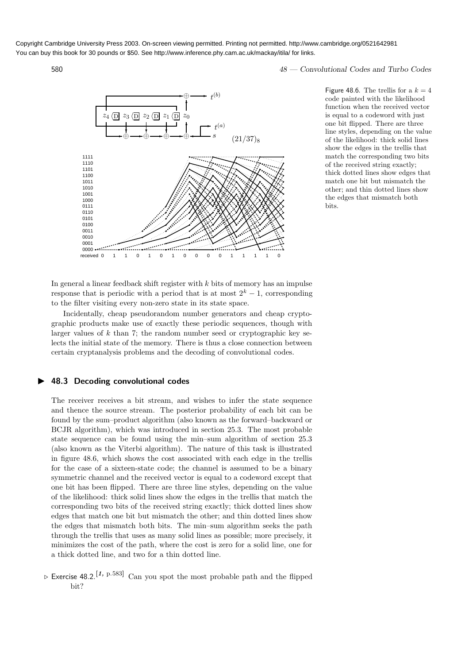# 580 48 — Convolutional Codes and Turbo Codes



In general a linear feedback shift register with  $k$  bits of memory has an impulse response that is periodic with a period that is at most  $2^k - 1$ , corresponding to the filter visiting every non-zero state in its state space.

Incidentally, cheap pseudorandom number generators and cheap cryptographic products make use of exactly these periodic sequences, though with larger values of  $k$  than 7; the random number seed or cryptographic key selects the initial state of the memory. There is thus a close connection between certain cryptanalysis problems and the decoding of convolutional codes.

# ▶ 48.3 Decoding convolutional codes

The receiver receives a bit stream, and wishes to infer the state sequence and thence the source stream. The posterior probability of each bit can be found by the sum–product algorithm (also known as the forward–backward or BCJR algorithm), which was introduced in section 25.3. The most probable state sequence can be found using the min–sum algorithm of section 25.3 (also known as the Viterbi algorithm). The nature of this task is illustrated in figure 48.6, which shows the cost associated with each edge in the trellis for the case of a sixteen-state code; the channel is assumed to be a binary symmetric channel and the received vector is equal to a codeword except that one bit has been flipped. There are three line styles, depending on the value of the likelihood: thick solid lines show the edges in the trellis that match the corresponding two bits of the received string exactly; thick dotted lines show edges that match one bit but mismatch the other; and thin dotted lines show the edges that mismatch both bits. The min–sum algorithm seeks the path through the trellis that uses as many solid lines as possible; more precisely, it minimizes the cost of the path, where the cost is zero for a solid line, one for a thick dotted line, and two for a thin dotted line.

 $\triangleright$  Exercise 48.2.<sup>[1, p.583]</sup> Can you spot the most probable path and the flipped bit?

Figure 48.6. The trellis for a  $k = 4$ code painted with the likelihood function when the received vector is equal to a codeword with just one bit flipped. There are three line styles, depending on the value of the likelihood: thick solid lines show the edges in the trellis that match the corresponding two bits of the received string exactly; thick dotted lines show edges that match one bit but mismatch the other; and thin dotted lines show the edges that mismatch both bits.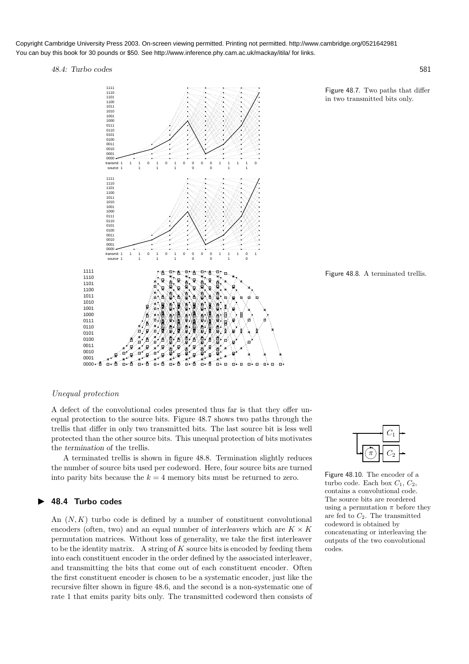48.4: Turbo codes 581





#### Unequal protection

A defect of the convolutional codes presented thus far is that they offer unequal protection to the source bits. Figure 48.7 shows two paths through the trellis that differ in only two transmitted bits. The last source bit is less well protected than the other source bits. This unequal protection of bits motivates the termination of the trellis.

A terminated trellis is shown in figure 48.8. Termination slightly reduces the number of source bits used per codeword. Here, four source bits are turned into parity bits because the  $k = 4$  memory bits must be returned to zero.

# ▶ 48.4 Turbo codes

An  $(N, K)$  turbo code is defined by a number of constituent convolutional encoders (often, two) and an equal number of interleavers which are  $K \times K$ permutation matrices. Without loss of generality, we take the first interleaver to be the identity matrix. A string of  $K$  source bits is encoded by feeding them into each constituent encoder in the order defined by the associated interleaver, and transmitting the bits that come out of each constituent encoder. Often the first constituent encoder is chosen to be a systematic encoder, just like the recursive filter shown in figure 48.6, and the second is a non-systematic one of rate 1 that emits parity bits only. The transmitted codeword then consists of



Figure 48.10. The encoder of a turbo code. Each box  $C_1, C_2$ , contains a convolutional code. The source bits are reordered using a permutation  $\pi$  before they are fed to  $C_2$ . The transmitted codeword is obtained by concatenating or interleaving the outputs of the two convolutional codes.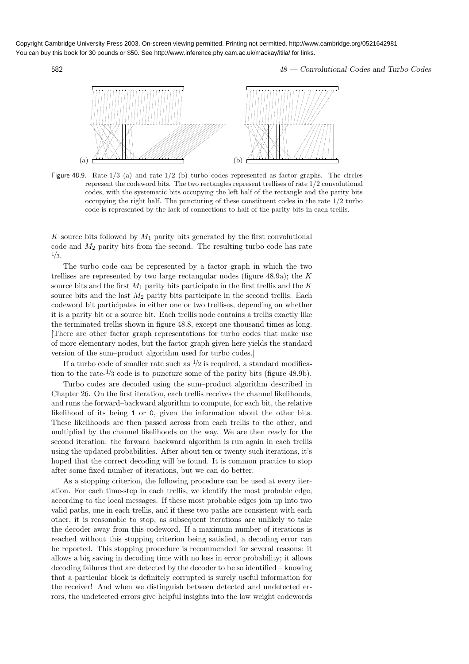

Figure 48.9. Rate- $1/3$  (a) and rate- $1/2$  (b) turbo codes represented as factor graphs. The circles represent the codeword bits. The two rectangles represent trellises of rate 1/2 convolutional codes, with the systematic bits occupying the left half of the rectangle and the parity bits occupying the right half. The puncturing of these constituent codes in the rate  $1/2$  turbo code is represented by the lack of connections to half of the parity bits in each trellis.

K source bits followed by  $M_1$  parity bits generated by the first convolutional code and  $M_2$  parity bits from the second. The resulting turbo code has rate  $1/3$ .

The turbo code can be represented by a factor graph in which the two trellises are represented by two large rectangular nodes (figure  $48.9a$ ); the K source bits and the first  $M_1$  parity bits participate in the first trellis and the  $K$ source bits and the last  $M_2$  parity bits participate in the second trellis. Each codeword bit participates in either one or two trellises, depending on whether it is a parity bit or a source bit. Each trellis node contains a trellis exactly like the terminated trellis shown in figure 48.8, except one thousand times as long. [There are other factor graph representations for turbo codes that make use of more elementary nodes, but the factor graph given here yields the standard version of the sum–product algorithm used for turbo codes.]

If a turbo code of smaller rate such as  $\frac{1}{2}$  is required, a standard modification to the rate- $\frac{1}{3}$  code is to puncture some of the parity bits (figure 48.9b).

Turbo codes are decoded using the sum–product algorithm described in Chapter 26. On the first iteration, each trellis receives the channel likelihoods, and runs the forward–backward algorithm to compute, for each bit, the relative likelihood of its being 1 or 0, given the information about the other bits. These likelihoods are then passed across from each trellis to the other, and multiplied by the channel likelihoods on the way. We are then ready for the second iteration: the forward–backward algorithm is run again in each trellis using the updated probabilities. After about ten or twenty such iterations, it's hoped that the correct decoding will be found. It is common practice to stop after some fixed number of iterations, but we can do better.

As a stopping criterion, the following procedure can be used at every iteration. For each time-step in each trellis, we identify the most probable edge, according to the local messages. If these most probable edges join up into two valid paths, one in each trellis, and if these two paths are consistent with each other, it is reasonable to stop, as subsequent iterations are unlikely to take the decoder away from this codeword. If a maximum number of iterations is reached without this stopping criterion being satisfied, a decoding error can be reported. This stopping procedure is recommended for several reasons: it allows a big saving in decoding time with no loss in error probability; it allows decoding failures that are detected by the decoder to be so identified – knowing that a particular block is definitely corrupted is surely useful information for the receiver! And when we distinguish between detected and undetected errors, the undetected errors give helpful insights into the low weight codewords